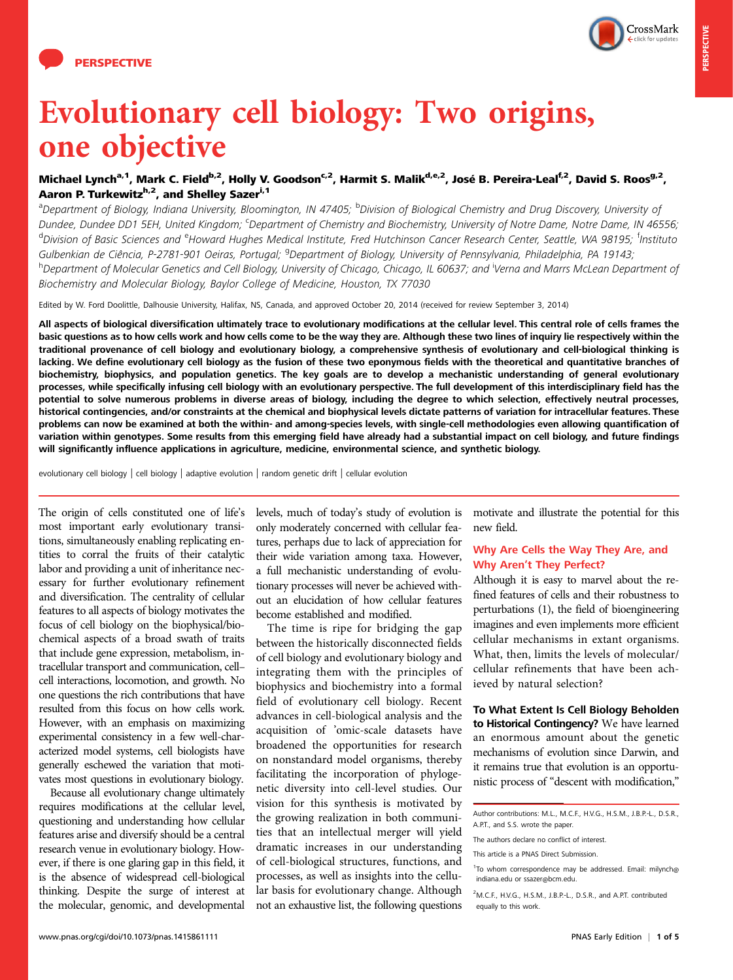

# Evolutionary cell biology: Two origins,

# Michael Lynch<sup>a,1</sup>, Mark C. Field<sup>b,2</sup>, Holly V. Goodson<sup>c,2</sup>, Harmit S. Malik<sup>d,e,2</sup>, José B. Pereira-Leal<sup>f,2</sup>, David S. Roos<sup>g,2</sup>, Aaron P. Turkewitz<sup>h,2</sup>, and Shelley Sazer<sup>i,1</sup>

<sup>a</sup>Department of Biology, Indiana University, Bloomington, IN 47405; <sup>b</sup>Division of Biological Chemistry and Drug Discovery, University of Dundee, Dundee DD1 5EH, United Kingdom; <sup>c</sup>Department of Chemistry and Biochemistry, University of Notre Dame, Notre Dame, IN 46556; <sup>d</sup>Division of Basic Sciences and <sup>e</sup>Howard Hughes Medical Institute, Fred Hutchinson Cancer Research Center, Seattle, WA 98195; <sup>f</sup>Instituto Gulbenkian de Ciência, P-2781-901 Oeiras, Portugal; <sup>g</sup>Department of Biology, University of Pennsylvania, Philadelphia, PA 19143; <sup>h</sup>Department of Molecular Genetics and Cell Biology, University of Chicago, Chicago, IL 60637; and <sup>i</sup>Verna and Marrs McLean Department of Biochemistry and Molecular Biology, Baylor College of Medicine, Houston, TX 77030

Edited by W. Ford Doolittle, Dalhousie University, Halifax, NS, Canada, and approved October 20, 2014 (received for review September 3, 2014)

All aspects of biological diversification ultimately trace to evolutionary modifications at the cellular level. This central role of cells frames the basic questions as to how cells work and how cells come to be the way they are. Although these two lines of inquiry lie respectively within the traditional provenance of cell biology and evolutionary biology, a comprehensive synthesis of evolutionary and cell-biological thinking is lacking. We define evolutionary cell biology as the fusion of these two eponymous fields with the theoretical and quantitative branches of biochemistry, biophysics, and population genetics. The key goals are to develop a mechanistic understanding of general evolutionary processes, while specifically infusing cell biology with an evolutionary perspective. The full development of this interdisciplinary field has the potential to solve numerous problems in diverse areas of biology, including the degree to which selection, effectively neutral processes, historical contingencies, and/or constraints at the chemical and biophysical levels dictate patterns of variation for intracellular features. These problems can now be examined at both the within- and among-species levels, with single-cell methodologies even allowing quantification of variation within genotypes. Some results from this emerging field have already had a substantial impact on cell biology, and future findings will significantly influence applications in agriculture, medicine, environmental science, and synthetic biology.

evolutionary cell biology | cell biology | adaptive evolution | random genetic drift | cellular evolution

The origin of cells constituted one of life's most important early evolutionary transitions, simultaneously enabling replicating entities to corral the fruits of their catalytic labor and providing a unit of inheritance necessary for further evolutionary refinement and diversification. The centrality of cellular features to all aspects of biology motivates the focus of cell biology on the biophysical/biochemical aspects of a broad swath of traits that include gene expression, metabolism, intracellular transport and communication, cell– cell interactions, locomotion, and growth. No one questions the rich contributions that have resulted from this focus on how cells work. However, with an emphasis on maximizing experimental consistency in a few well-characterized model systems, cell biologists have generally eschewed the variation that motivates most questions in evolutionary biology.

Because all evolutionary change ultimately requires modifications at the cellular level, questioning and understanding how cellular features arise and diversify should be a central research venue in evolutionary biology. However, if there is one glaring gap in this field, it is the absence of widespread cell-biological thinking. Despite the surge of interest at the molecular, genomic, and developmental levels, much of today's study of evolution is only moderately concerned with cellular features, perhaps due to lack of appreciation for their wide variation among taxa. However, a full mechanistic understanding of evolutionary processes will never be achieved without an elucidation of how cellular features become established and modified.

The time is ripe for bridging the gap between the historically disconnected fields of cell biology and evolutionary biology and integrating them with the principles of biophysics and biochemistry into a formal field of evolutionary cell biology. Recent advances in cell-biological analysis and the acquisition of 'omic-scale datasets have broadened the opportunities for research on nonstandard model organisms, thereby facilitating the incorporation of phylogenetic diversity into cell-level studies. Our vision for this synthesis is motivated by the growing realization in both communities that an intellectual merger will yield dramatic increases in our understanding of cell-biological structures, functions, and processes, as well as insights into the cellular basis for evolutionary change. Although not an exhaustive list, the following questions motivate and illustrate the potential for this new field.

### Why Are Cells the Way They Are, and Why Aren't They Perfect?

Although it is easy to marvel about the refined features of cells and their robustness to perturbations (1), the field of bioengineering imagines and even implements more efficient cellular mechanisms in extant organisms. What, then, limits the levels of molecular/ cellular refinements that have been achieved by natural selection?

To What Extent Is Cell Biology Beholden to Historical Contingency? We have learned an enormous amount about the genetic mechanisms of evolution since Darwin, and it remains true that evolution is an opportunistic process of "descent with modification,"

Author contributions: M.L., M.C.F., H.V.G., H.S.M., J.B.P.-L., D.S.R., A.P.T., and S.S. wrote the paper.

The authors declare no conflict of interest.

This article is a PNAS Direct Submission.

<sup>&</sup>lt;sup>1</sup>To whom correspondence may be addressed. Email: [milynch@](mailto:milynch@indiana.edu) [indiana.edu](mailto:milynch@indiana.edu) or [ssazer@bcm.edu](mailto:ssazer@bcm.edu).

<sup>&</sup>lt;sup>2</sup>M.C.F., H.V.G., H.S.M., J.B.P.-L., D.S.R., and A.P.T. contributed equally to this work.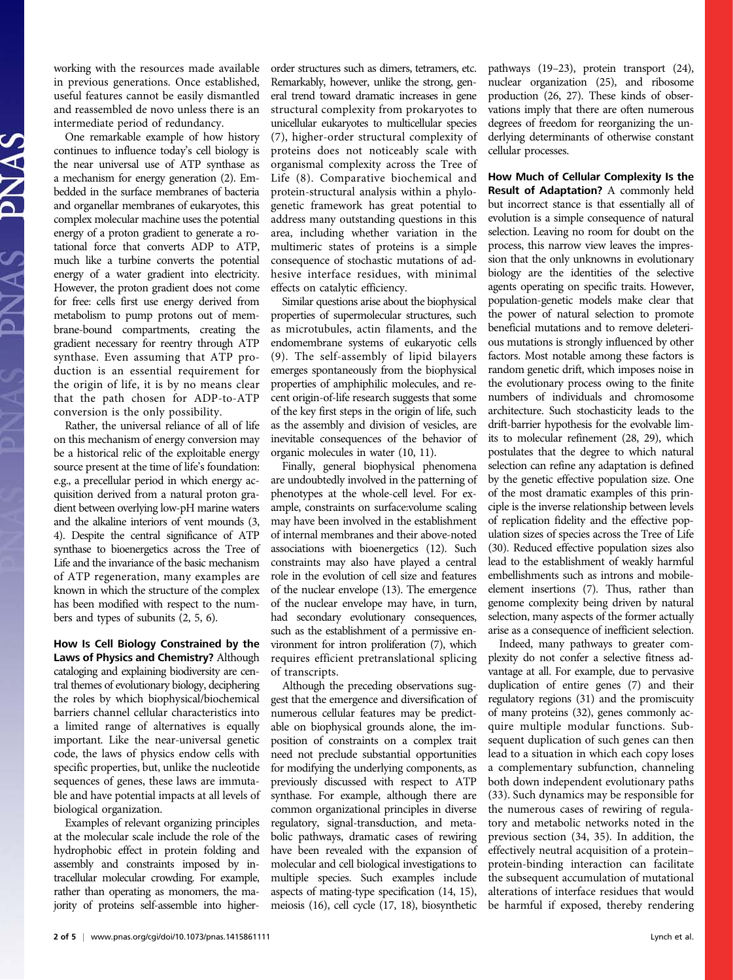working with the resources made available in previous generations. Once established, useful features cannot be easily dismantled and reassembled de novo unless there is an intermediate period of redundancy.

One remarkable example of how history continues to influence today's cell biology is the near universal use of ATP synthase as a mechanism for energy generation (2). Embedded in the surface membranes of bacteria and organellar membranes of eukaryotes, this complex molecular machine uses the potential energy of a proton gradient to generate a rotational force that converts ADP to ATP, much like a turbine converts the potential energy of a water gradient into electricity. However, the proton gradient does not come for free: cells first use energy derived from metabolism to pump protons out of membrane-bound compartments, creating the gradient necessary for reentry through ATP synthase. Even assuming that ATP production is an essential requirement for the origin of life, it is by no means clear that the path chosen for ADP-to-ATP conversion is the only possibility.

Rather, the universal reliance of all of life on this mechanism of energy conversion may be a historical relic of the exploitable energy source present at the time of life's foundation: e.g., a precellular period in which energy acquisition derived from a natural proton gradient between overlying low-pH marine waters and the alkaline interiors of vent mounds (3, 4). Despite the central significance of ATP synthase to bioenergetics across the Tree of Life and the invariance of the basic mechanism of ATP regeneration, many examples are known in which the structure of the complex has been modified with respect to the numbers and types of subunits (2, 5, 6).

How Is Cell Biology Constrained by the Laws of Physics and Chemistry? Although cataloging and explaining biodiversity are central themes of evolutionary biology, deciphering the roles by which biophysical/biochemical barriers channel cellular characteristics into a limited range of alternatives is equally important. Like the near-universal genetic code, the laws of physics endow cells with specific properties, but, unlike the nucleotide sequences of genes, these laws are immutable and have potential impacts at all levels of biological organization.

Examples of relevant organizing principles at the molecular scale include the role of the hydrophobic effect in protein folding and assembly and constraints imposed by intracellular molecular crowding. For example, rather than operating as monomers, the majority of proteins self-assemble into higher-

order structures such as dimers, tetramers, etc. Remarkably, however, unlike the strong, general trend toward dramatic increases in gene structural complexity from prokaryotes to unicellular eukaryotes to multicellular species (7), higher-order structural complexity of proteins does not noticeably scale with organismal complexity across the Tree of Life (8). Comparative biochemical and protein-structural analysis within a phylogenetic framework has great potential to address many outstanding questions in this area, including whether variation in the multimeric states of proteins is a simple consequence of stochastic mutations of adhesive interface residues, with minimal effects on catalytic efficiency.

Similar questions arise about the biophysical properties of supermolecular structures, such as microtubules, actin filaments, and the endomembrane systems of eukaryotic cells (9). The self-assembly of lipid bilayers emerges spontaneously from the biophysical properties of amphiphilic molecules, and recent origin-of-life research suggests that some of the key first steps in the origin of life, such as the assembly and division of vesicles, are inevitable consequences of the behavior of organic molecules in water (10, 11).

Finally, general biophysical phenomena are undoubtedly involved in the patterning of phenotypes at the whole-cell level. For example, constraints on surface:volume scaling may have been involved in the establishment of internal membranes and their above-noted associations with bioenergetics (12). Such constraints may also have played a central role in the evolution of cell size and features of the nuclear envelope (13). The emergence of the nuclear envelope may have, in turn, had secondary evolutionary consequences, such as the establishment of a permissive environment for intron proliferation (7), which requires efficient pretranslational splicing of transcripts.

Although the preceding observations suggest that the emergence and diversification of numerous cellular features may be predictable on biophysical grounds alone, the imposition of constraints on a complex trait need not preclude substantial opportunities for modifying the underlying components, as previously discussed with respect to ATP synthase. For example, although there are common organizational principles in diverse regulatory, signal-transduction, and metabolic pathways, dramatic cases of rewiring have been revealed with the expansion of molecular and cell biological investigations to multiple species. Such examples include aspects of mating-type specification (14, 15), meiosis (16), cell cycle (17, 18), biosynthetic

pathways (19–23), protein transport (24), nuclear organization (25), and ribosome production (26, 27). These kinds of observations imply that there are often numerous degrees of freedom for reorganizing the underlying determinants of otherwise constant cellular processes.

How Much of Cellular Complexity Is the Result of Adaptation? A commonly held but incorrect stance is that essentially all of evolution is a simple consequence of natural selection. Leaving no room for doubt on the process, this narrow view leaves the impression that the only unknowns in evolutionary biology are the identities of the selective agents operating on specific traits. However, population-genetic models make clear that the power of natural selection to promote beneficial mutations and to remove deleterious mutations is strongly influenced by other factors. Most notable among these factors is random genetic drift, which imposes noise in the evolutionary process owing to the finite numbers of individuals and chromosome architecture. Such stochasticity leads to the drift-barrier hypothesis for the evolvable limits to molecular refinement (28, 29), which postulates that the degree to which natural selection can refine any adaptation is defined by the genetic effective population size. One of the most dramatic examples of this principle is the inverse relationship between levels of replication fidelity and the effective population sizes of species across the Tree of Life (30). Reduced effective population sizes also lead to the establishment of weakly harmful embellishments such as introns and mobileelement insertions (7). Thus, rather than genome complexity being driven by natural selection, many aspects of the former actually arise as a consequence of inefficient selection.

Indeed, many pathways to greater complexity do not confer a selective fitness advantage at all. For example, due to pervasive duplication of entire genes (7) and their regulatory regions (31) and the promiscuity of many proteins (32), genes commonly acquire multiple modular functions. Subsequent duplication of such genes can then lead to a situation in which each copy loses a complementary subfunction, channeling both down independent evolutionary paths (33). Such dynamics may be responsible for the numerous cases of rewiring of regulatory and metabolic networks noted in the previous section (34, 35). In addition, the effectively neutral acquisition of a protein– protein-binding interaction can facilitate the subsequent accumulation of mutational alterations of interface residues that would be harmful if exposed, thereby rendering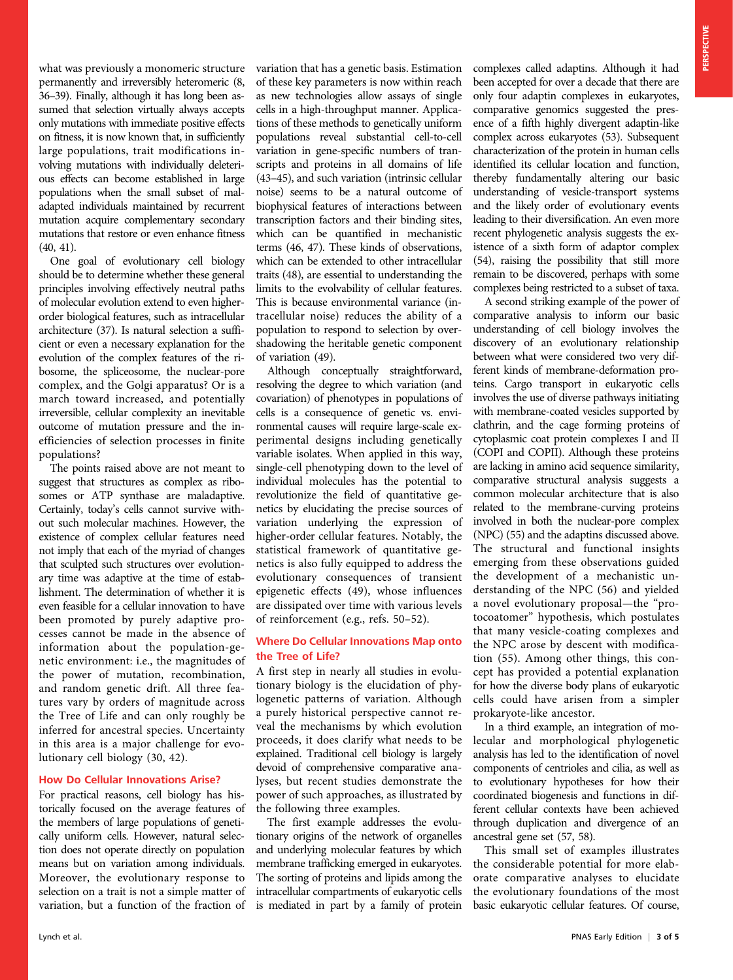what was previously a monomeric structure permanently and irreversibly heteromeric (8, 36–39). Finally, although it has long been assumed that selection virtually always accepts only mutations with immediate positive effects on fitness, it is now known that, in sufficiently large populations, trait modifications involving mutations with individually deleterious effects can become established in large populations when the small subset of maladapted individuals maintained by recurrent mutation acquire complementary secondary mutations that restore or even enhance fitness (40, 41).

One goal of evolutionary cell biology should be to determine whether these general principles involving effectively neutral paths of molecular evolution extend to even higherorder biological features, such as intracellular architecture (37). Is natural selection a sufficient or even a necessary explanation for the evolution of the complex features of the ribosome, the spliceosome, the nuclear-pore complex, and the Golgi apparatus? Or is a march toward increased, and potentially irreversible, cellular complexity an inevitable outcome of mutation pressure and the inefficiencies of selection processes in finite populations?

The points raised above are not meant to suggest that structures as complex as ribosomes or ATP synthase are maladaptive. Certainly, today's cells cannot survive without such molecular machines. However, the existence of complex cellular features need not imply that each of the myriad of changes that sculpted such structures over evolutionary time was adaptive at the time of establishment. The determination of whether it is even feasible for a cellular innovation to have been promoted by purely adaptive processes cannot be made in the absence of information about the population-genetic environment: i.e., the magnitudes of the power of mutation, recombination, and random genetic drift. All three features vary by orders of magnitude across the Tree of Life and can only roughly be inferred for ancestral species. Uncertainty in this area is a major challenge for evolutionary cell biology (30, 42).

#### How Do Cellular Innovations Arise?

For practical reasons, cell biology has historically focused on the average features of the members of large populations of genetically uniform cells. However, natural selection does not operate directly on population means but on variation among individuals. Moreover, the evolutionary response to selection on a trait is not a simple matter of variation, but a function of the fraction of variation that has a genetic basis. Estimation of these key parameters is now within reach as new technologies allow assays of single cells in a high-throughput manner. Applications of these methods to genetically uniform populations reveal substantial cell-to-cell variation in gene-specific numbers of transcripts and proteins in all domains of life (43–45), and such variation (intrinsic cellular noise) seems to be a natural outcome of biophysical features of interactions between transcription factors and their binding sites, which can be quantified in mechanistic terms (46, 47). These kinds of observations, which can be extended to other intracellular traits (48), are essential to understanding the limits to the evolvability of cellular features. This is because environmental variance (intracellular noise) reduces the ability of a population to respond to selection by overshadowing the heritable genetic component of variation (49).

Although conceptually straightforward, resolving the degree to which variation (and covariation) of phenotypes in populations of cells is a consequence of genetic vs. environmental causes will require large-scale experimental designs including genetically variable isolates. When applied in this way, single-cell phenotyping down to the level of individual molecules has the potential to revolutionize the field of quantitative genetics by elucidating the precise sources of variation underlying the expression of higher-order cellular features. Notably, the statistical framework of quantitative genetics is also fully equipped to address the evolutionary consequences of transient epigenetic effects (49), whose influences are dissipated over time with various levels of reinforcement (e.g., refs. 50–52).

## Where Do Cellular Innovations Map onto the Tree of Life?

A first step in nearly all studies in evolutionary biology is the elucidation of phylogenetic patterns of variation. Although a purely historical perspective cannot reveal the mechanisms by which evolution proceeds, it does clarify what needs to be explained. Traditional cell biology is largely devoid of comprehensive comparative analyses, but recent studies demonstrate the power of such approaches, as illustrated by the following three examples.

The first example addresses the evolutionary origins of the network of organelles and underlying molecular features by which membrane trafficking emerged in eukaryotes. The sorting of proteins and lipids among the intracellular compartments of eukaryotic cells is mediated in part by a family of protein

complexes called adaptins. Although it had been accepted for over a decade that there are only four adaptin complexes in eukaryotes, comparative genomics suggested the presence of a fifth highly divergent adaptin-like complex across eukaryotes (53). Subsequent characterization of the protein in human cells identified its cellular location and function, thereby fundamentally altering our basic understanding of vesicle-transport systems and the likely order of evolutionary events leading to their diversification. An even more recent phylogenetic analysis suggests the existence of a sixth form of adaptor complex (54), raising the possibility that still more remain to be discovered, perhaps with some complexes being restricted to a subset of taxa.

A second striking example of the power of comparative analysis to inform our basic understanding of cell biology involves the discovery of an evolutionary relationship between what were considered two very different kinds of membrane-deformation proteins. Cargo transport in eukaryotic cells involves the use of diverse pathways initiating with membrane-coated vesicles supported by clathrin, and the cage forming proteins of cytoplasmic coat protein complexes I and II (COPI and COPII). Although these proteins are lacking in amino acid sequence similarity, comparative structural analysis suggests a common molecular architecture that is also related to the membrane-curving proteins involved in both the nuclear-pore complex (NPC) (55) and the adaptins discussed above. The structural and functional insights emerging from these observations guided the development of a mechanistic understanding of the NPC (56) and yielded a novel evolutionary proposal—the "protocoatomer" hypothesis, which postulates that many vesicle-coating complexes and the NPC arose by descent with modification (55). Among other things, this concept has provided a potential explanation for how the diverse body plans of eukaryotic cells could have arisen from a simpler prokaryote-like ancestor.

In a third example, an integration of molecular and morphological phylogenetic analysis has led to the identification of novel components of centrioles and cilia, as well as to evolutionary hypotheses for how their coordinated biogenesis and functions in different cellular contexts have been achieved through duplication and divergence of an ancestral gene set (57, 58).

This small set of examples illustrates the considerable potential for more elaborate comparative analyses to elucidate the evolutionary foundations of the most basic eukaryotic cellular features. Of course,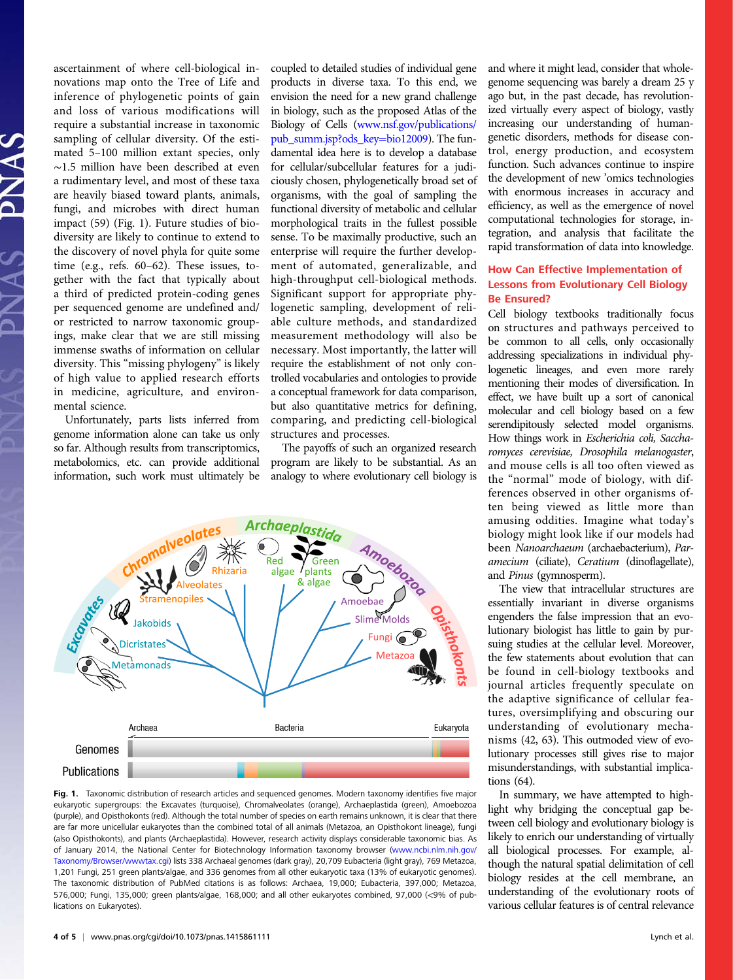ascertainment of where cell-biological innovations map onto the Tree of Life and inference of phylogenetic points of gain and loss of various modifications will require a substantial increase in taxonomic sampling of cellular diversity. Of the estimated 5–100 million extant species, only ∼1.5 million have been described at even a rudimentary level, and most of these taxa are heavily biased toward plants, animals, fungi, and microbes with direct human impact (59) (Fig. 1). Future studies of biodiversity are likely to continue to extend to the discovery of novel phyla for quite some time (e.g., refs. 60–62). These issues, together with the fact that typically about a third of predicted protein-coding genes per sequenced genome are undefined and/ or restricted to narrow taxonomic groupings, make clear that we are still missing immense swaths of information on cellular diversity. This "missing phylogeny" is likely of high value to applied research efforts in medicine, agriculture, and environmental science.

Unfortunately, parts lists inferred from genome information alone can take us only so far. Although results from transcriptomics, metabolomics, etc. can provide additional information, such work must ultimately be

coupled to detailed studies of individual gene products in diverse taxa. To this end, we envision the need for a new grand challenge in biology, such as the proposed Atlas of the Biology of Cells [\(www.nsf.gov/publications/](http://www.nsf.gov/publications/pub_summ.jsp?ods_key=bio12009) [pub\\_summ.jsp?ods\\_key](http://www.nsf.gov/publications/pub_summ.jsp?ods_key=bio12009)=bio12009). The fundamental idea here is to develop a database for cellular/subcellular features for a judiciously chosen, phylogenetically broad set of organisms, with the goal of sampling the functional diversity of metabolic and cellular morphological traits in the fullest possible sense. To be maximally productive, such an enterprise will require the further development of automated, generalizable, and high-throughput cell-biological methods. Significant support for appropriate phylogenetic sampling, development of reliable culture methods, and standardized measurement methodology will also be necessary. Most importantly, the latter will require the establishment of not only controlled vocabularies and ontologies to provide a conceptual framework for data comparison, but also quantitative metrics for defining, comparing, and predicting cell-biological structures and processes.

The payoffs of such an organized research program are likely to be substantial. As an analogy to where evolutionary cell biology is



Fig. 1. Taxonomic distribution of research articles and sequenced genomes. Modern taxonomy identifies five major eukaryotic supergroups: the Excavates (turquoise), Chromalveolates (orange), Archaeplastida (green), Amoebozoa (purple), and Opisthokonts (red). Although the total number of species on earth remains unknown, it is clear that there are far more unicellular eukaryotes than the combined total of all animals (Metazoa, an Opisthokont lineage), fungi (also Opisthokonts), and plants (Archaeplastida). However, research activity displays considerable taxonomic bias. As of January 2014, the National Center for Biotechnology Information taxonomy browser ([www.ncbi.nlm.nih.gov/](http://www.ncbi.nlm.nih.gov/Taxonomy/Browser/wwwtax.cgi) [Taxonomy/Browser/wwwtax.cgi\)](http://www.ncbi.nlm.nih.gov/Taxonomy/Browser/wwwtax.cgi) lists 338 Archaeal genomes (dark gray), 20,709 Eubacteria (light gray), 769 Metazoa, 1,201 Fungi, 251 green plants/algae, and 336 genomes from all other eukaryotic taxa (13% of eukaryotic genomes). The taxonomic distribution of PubMed citations is as follows: Archaea, 19,000; Eubacteria, 397,000; Metazoa, 576,000; Fungi, 135,000; green plants/algae, 168,000; and all other eukaryotes combined, 97,000 (<9% of publications on Eukaryotes).

and where it might lead, consider that wholegenome sequencing was barely a dream 25 y ago but, in the past decade, has revolutionized virtually every aspect of biology, vastly increasing our understanding of humangenetic disorders, methods for disease control, energy production, and ecosystem function. Such advances continue to inspire the development of new 'omics technologies with enormous increases in accuracy and efficiency, as well as the emergence of novel computational technologies for storage, integration, and analysis that facilitate the rapid transformation of data into knowledge.

# How Can Effective Implementation of Lessons from Evolutionary Cell Biology Be Ensured?

Cell biology textbooks traditionally focus on structures and pathways perceived to be common to all cells, only occasionally addressing specializations in individual phylogenetic lineages, and even more rarely mentioning their modes of diversification. In effect, we have built up a sort of canonical molecular and cell biology based on a few serendipitously selected model organisms. How things work in Escherichia coli, Saccharomyces cerevisiae, Drosophila melanogaster, and mouse cells is all too often viewed as the "normal" mode of biology, with differences observed in other organisms often being viewed as little more than amusing oddities. Imagine what today's biology might look like if our models had been Nanoarchaeum (archaebacterium), Paramecium (ciliate), Ceratium (dinoflagellate), and Pinus (gymnosperm).

The view that intracellular structures are essentially invariant in diverse organisms engenders the false impression that an evolutionary biologist has little to gain by pursuing studies at the cellular level. Moreover, the few statements about evolution that can be found in cell-biology textbooks and journal articles frequently speculate on the adaptive significance of cellular features, oversimplifying and obscuring our understanding of evolutionary mechanisms (42, 63). This outmoded view of evolutionary processes still gives rise to major misunderstandings, with substantial implications (64).

In summary, we have attempted to highlight why bridging the conceptual gap between cell biology and evolutionary biology is likely to enrich our understanding of virtually all biological processes. For example, although the natural spatial delimitation of cell biology resides at the cell membrane, an understanding of the evolutionary roots of various cellular features is of central relevance